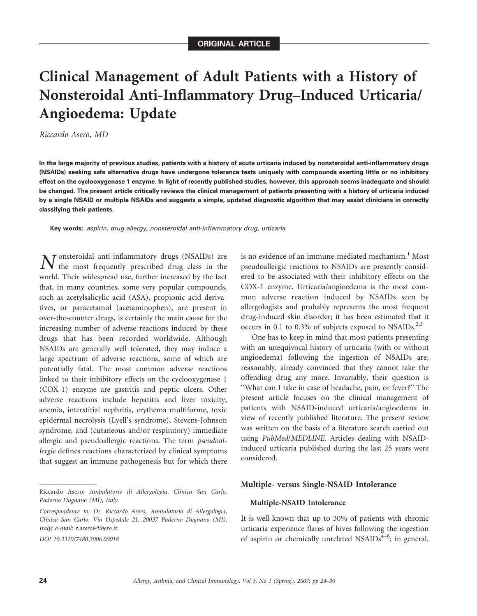# Clinical Management of Adult Patients with a History of Nonsteroidal Anti-Inflammatory Drug–Induced Urticaria/ Angioedema: Update

Riccardo Asero, MD

In the large majority of previous studies, patients with a history of acute urticaria induced by nonsteroidal anti-inflammatory drugs (NSAIDs) seeking safe alternative drugs have undergone tolerance tests uniquely with compounds exerting little or no inhibitory effect on the cyclooxygenase 1 enzyme. In light of recently published studies, however, this approach seems inadequate and should be changed. The present article critically reviews the clinical management of patients presenting with a history of urticaria induced by a single NSAID or multiple NSAIDs and suggests a simple, updated diagnostic algorithm that may assist clinicians in correctly classifying their patients.

Key words: aspirin, drug allergy, nonsteroidal anti-inflammatory drug, urticaria

N onsteroidal anti-inflammatory drugs (NSAIDs) are the most frequently prescribed drug class in the world. Their widespread use, further increased by the fact that, in many countries, some very popular compounds, such as acetylsalicylic acid (ASA), propionic acid derivatives, or paracetamol (acetaminophen), are present in over-the-counter drugs, is certainly the main cause for the increasing number of adverse reactions induced by these drugs that has been recorded worldwide. Although NSAIDs are generally well tolerated, they may induce a large spectrum of adverse reactions, some of which are potentially fatal. The most common adverse reactions linked to their inhibitory effects on the cyclooxygenase 1 (COX-1) enzyme are gastritis and peptic ulcers. Other adverse reactions include hepatitis and liver toxicity, anemia, interstitial nephritis, erythema multiforme, toxic epidermal necrolysis (Lyell's syndrome), Stevens-Johnson syndrome, and (cutaneous and/or respiratory) immediate allergic and pseudoallergic reactions. The term pseudoallergic defines reactions characterized by clinical symptoms that suggest an immune pathogenesis but for which there

is no evidence of an immune-mediated mechanism.<sup>1</sup> Most pseudoallergic reactions to NSAIDs are presently considered to be associated with their inhibitory effects on the COX-1 enzyme. Urticaria/angioedema is the most common adverse reaction induced by NSAIDs seen by allergologists and probably represents the most frequent drug-induced skin disorder; it has been estimated that it occurs in 0.1 to 0.3% of subjects exposed to  $NSAIDS^{2,3}$ 

One has to keep in mind that most patients presenting with an unequivocal history of urticaria (with or without angioedema) following the ingestion of NSAIDs are, reasonably, already convinced that they cannot take the offending drug any more. Invariably, their question is ''What can I take in case of headache, pain, or fever?'' The present article focuses on the clinical management of patients with NSAID-induced urticaria/angioedema in view of recently published literature. The present review was written on the basis of a literature search carried out using PubMed/MEDLINE. Articles dealing with NSAIDinduced urticaria published during the last 25 years were considered.

#### Multiple- versus Single-NSAID Intolerance

#### Multiple-NSAID Intolerance

It is well known that up to 30% of patients with chronic urticaria experience flares of hives following the ingestion of aspirin or chemically unrelated NSAIDs $4-6$ ; in general,

Riccardo Asero: Ambulatorio di Allergologia, Clinica San Carlo, Paderno Dugnano (MI), Italy.

Correspondence to: Dr. Riccardo Asero, Ambulatorio di Allergologia, Clinica San Carlo, Via Ospedale 21, 20037 Paderno Dugnano (MI), Italy; e-mail: r.asero@libero.it.

DOI 10.2310/7480.2006.00018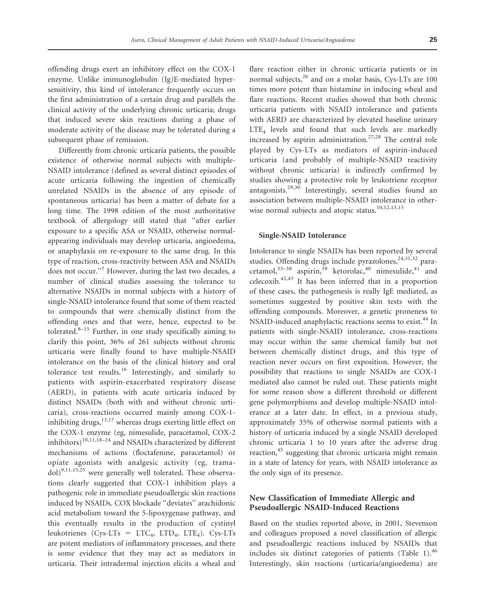offending drugs exert an inhibitory effect on the COX-1 enzyme. Unlike immunoglobulin (Ig)E-mediated hypersensitivity, this kind of intolerance frequently occurs on the first administration of a certain drug and parallels the clinical activity of the underlying chronic urticaria; drugs that induced severe skin reactions during a phase of moderate activity of the disease may be tolerated during a subsequent phase of remission.

Differently from chronic urticaria patients, the possible existence of otherwise normal subjects with multiple-NSAID intolerance (defined as several distinct episodes of acute urticaria following the ingestion of chemically unrelated NSAIDs in the absence of any episode of spontaneous urticaria) has been a matter of debate for a long time. The 1998 edition of the most authoritative textbook of allergology still stated that ''after earlier exposure to a specific ASA or NSAID, otherwise normalappearing individuals may develop urticaria, angioedema, or anaphylaxis on re-exposure to the same drug. In this type of reaction, cross-reactivity between ASA and NSAIDs does not occur.''<sup>7</sup> However, during the last two decades, a number of clinical studies assessing the tolerance to alternative NSAIDs in normal subjects with a history of single-NSAID intolerance found that some of them reacted to compounds that were chemically distinct from the offending ones and that were, hence, expected to be tolerated. $8-15$  Further, in one study specifically aiming to clarify this point, 36% of 261 subjects without chronic urticaria were finally found to have multiple-NSAID intolerance on the basis of the clinical history and oral tolerance test results.<sup>16</sup> Interestingly, and similarly to patients with aspirin-exacerbated respiratory disease (AERD), in patients with acute urticaria induced by distinct NSAIDs (both with and without chronic urticaria), cross-reactions occurred mainly among COX-1 inhibiting drugs, $13,17$  whereas drugs exerting little effect on the COX-1 enzyme (eg, nimesulide, paracetamol, COX-2 inhibitors)<sup>10,11,18–24</sup> and NSAIDs characterized by different mechanisms of actions (floctafenine, paracetamol) or opiate agonists with analgesic activity (eg, trama $dol$ )<sup>9,11,15,25</sup> were generally well tolerated. These observations clearly suggested that COX-1 inhibition plays a pathogenic role in immediate pseudoallergic skin reactions induced by NSAIDs. COX blockade ''deviates'' arachidonic acid metabolism toward the 5-lipoxygenase pathway, and this eventually results in the production of cystinyl leukotrienes (Cys-LTs = LTC<sub>4</sub>, LTD<sub>4</sub>, LTE<sub>4</sub>). Cys-LTs are potent mediators of inflammatory processes, and there is some evidence that they may act as mediators in urticaria. Their intradermal injection elicits a wheal and flare reaction either in chronic urticaria patients or in normal subjects, $^{26}$  and on a molar basis, Cys-LTs are 100 times more potent than histamine in inducing wheal and flare reactions. Recent studies showed that both chronic urticaria patients with NSAID intolerance and patients with AERD are characterized by elevated baseline urinary LTE<sub>4</sub> levels and found that such levels are markedly increased by aspirin administration.<sup>27,28</sup> The central role played by Cys-LTs as mediators of aspirin-induced urticaria (and probably of multiple-NSAID reactivity without chronic urticaria) is indirectly confirmed by studies showing a protective role by leukotriene receptor antagonists. $29,30$  Interestingly, several studies found an association between multiple-NSAID intolerance in otherwise normal subjects and atopic status.<sup>10,12,13,15</sup>

#### Single-NSAID Intolerance

Intolerance to single NSAIDs has been reported by several studies. Offending drugs include pyrazolones,<sup>24,31,52</sup> paracetamol,  $33-38$  aspirin,  $39$  ketorolac,  $40$  nimesulide,  $41$  and celecoxib. $42,43$  It has been inferred that in a proportion of these cases, the pathogenesis is really IgE mediated, as sometimes suggested by positive skin tests with the offending compounds. Moreover, a genetic proneness to NSAID-induced anaphylactic reactions seems to exist.<sup>44</sup> In patients with single-NSAID intolerance, cross-reactions may occur within the same chemical family but not between chemically distinct drugs, and this type of reaction never occurs on first exposition. However, the possibility that reactions to single NSAIDs are COX-1 mediated also cannot be ruled out. These patients might for some reason show a different threshold or different gene polymorphisms and develop multiple-NSAID intolerance at a later date. In effect, in a previous study, approximately 35% of otherwise normal patients with a history of urticaria induced by a single NSAID developed chronic urticaria 1 to 10 years after the adverse drug reaction,<sup>45</sup> suggesting that chronic urticaria might remain in a state of latency for years, with NSAID intolerance as the only sign of its presence.

## New Classification of Immediate Allergic and Pseudoallergic NSAID-Induced Reactions

Based on the studies reported above, in 2001, Stevenson and colleagues proposed a novel classification of allergic and pseudoallergic reactions induced by NSAIDs that includes six distinct categories of patients (Table 1). $46$ Interestingly, skin reactions (urticaria/angioedema) are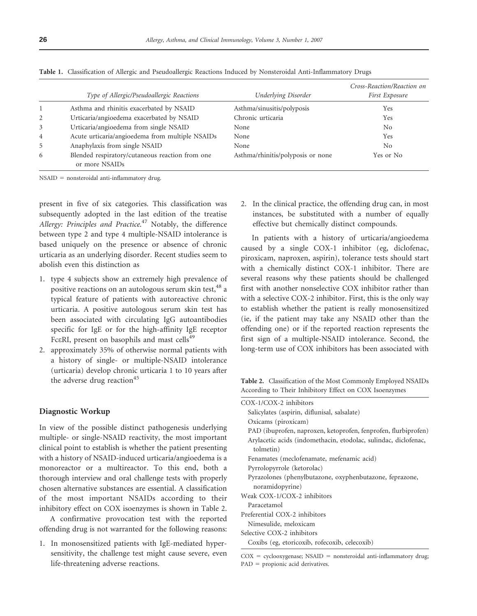|                | Type of Allergic/Pseudoallergic Reactions                         | Underlying Disorder               | Cross-Reaction/Reaction on<br>First Exposure |
|----------------|-------------------------------------------------------------------|-----------------------------------|----------------------------------------------|
|                | Asthma and rhinitis exacerbated by NSAID                          | Asthma/sinusitis/polyposis        | Yes.                                         |
| 2              | Urticaria/angioedema exacerbated by NSAID                         | Chronic urticaria                 | Yes                                          |
| 3              | Urticaria/angioedema from single NSAID                            | None                              | N <sub>0</sub>                               |
| $\overline{4}$ | Acute urticaria/angioedema from multiple NSAIDs                   | None                              | Yes                                          |
| 5              | Anaphylaxis from single NSAID                                     | None                              | N <sub>0</sub>                               |
| 6              | Blended respiratory/cutaneous reaction from one<br>or more NSAIDs | Asthma/rhinitis/polyposis or none | Yes or No                                    |

Table 1. Classification of Allergic and Pseudoallergic Reactions Induced by Nonsteroidal Anti-Inflammatory Drugs

 $NSAID$  = nonsteroidal anti-inflammatory drug.

present in five of six categories. This classification was subsequently adopted in the last edition of the treatise Allergy: Principles and Practice.<sup>47</sup> Notably, the difference between type 2 and type 4 multiple-NSAID intolerance is based uniquely on the presence or absence of chronic urticaria as an underlying disorder. Recent studies seem to abolish even this distinction as

- 1. type 4 subjects show an extremely high prevalence of positive reactions on an autologous serum skin test, <sup>48</sup> a typical feature of patients with autoreactive chronic urticaria. A positive autologous serum skin test has been associated with circulating IgG autoantibodies specific for IgE or for the high-affinity IgE receptor Fc $\epsilon$ RI, present on basophils and mast cells<sup>49</sup>
- 2. approximately 35% of otherwise normal patients with a history of single- or multiple-NSAID intolerance (urticaria) develop chronic urticaria 1 to 10 years after the adverse drug reaction<sup>45</sup>

### Diagnostic Workup

In view of the possible distinct pathogenesis underlying multiple- or single-NSAID reactivity, the most important clinical point to establish is whether the patient presenting with a history of NSAID-induced urticaria/angioedema is a monoreactor or a multireactor. To this end, both a thorough interview and oral challenge tests with properly chosen alternative substances are essential. A classification of the most important NSAIDs according to their inhibitory effect on COX isoenzymes is shown in Table 2.

A confirmative provocation test with the reported offending drug is not warranted for the following reasons:

1. In monosensitized patients with IgE-mediated hypersensitivity, the challenge test might cause severe, even life-threatening adverse reactions.

2. In the clinical practice, the offending drug can, in most instances, be substituted with a number of equally effective but chemically distinct compounds.

In patients with a history of urticaria/angioedema caused by a single COX-1 inhibitor (eg, diclofenac, piroxicam, naproxen, aspirin), tolerance tests should start with a chemically distinct COX-1 inhibitor. There are several reasons why these patients should be challenged first with another nonselective COX inhibitor rather than with a selective COX-2 inhibitor. First, this is the only way to establish whether the patient is really monosensitized (ie, if the patient may take any NSAID other than the offending one) or if the reported reaction represents the first sign of a multiple-NSAID intolerance. Second, the long-term use of COX inhibitors has been associated with

Table 2. Classification of the Most Commonly Employed NSAIDs According to Their Inhibitory Effect on COX Isoenzymes

| COX-1/COX-2 inhibitors                                          |  |  |
|-----------------------------------------------------------------|--|--|
| Salicylates (aspirin, diflunisal, salsalate)                    |  |  |
| Oxicams (piroxicam)                                             |  |  |
| PAD (ibuprofen, naproxen, ketoprofen, fenprofen, flurbiprofen)  |  |  |
| Arylacetic acids (indomethacin, etodolac, sulindac, diclofenac, |  |  |
| tolmetin)                                                       |  |  |
| Fenamates (meclofenamate, mefenamic acid)                       |  |  |
| Pyrrolopyrrole (ketorolac)                                      |  |  |
| Pyrazolones (phenylbutazone, oxyphenbutazone, feprazone,        |  |  |
| noramidopyrine)                                                 |  |  |
| Weak COX-1/COX-2 inhibitors                                     |  |  |
| Paracetamol                                                     |  |  |
| Preferential COX-2 inhibitors                                   |  |  |
| Nimesulide, meloxicam                                           |  |  |
| Selective COX-2 inhibitors                                      |  |  |
| Coxibs (eg, etoricoxib, rofecoxib, celecoxib)                   |  |  |

 $COX = cyclooxygenase$ ; NSAID = nonsteroidal anti-inflammatory drug;  $PAD =$  propionic acid derivatives.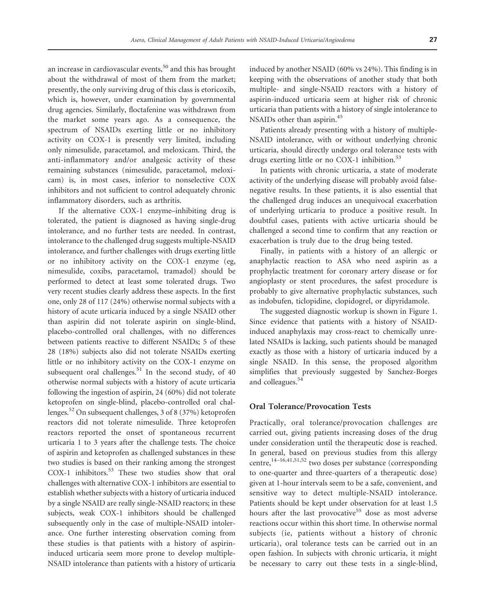an increase in cardiovascular events,<sup>50</sup> and this has brought about the withdrawal of most of them from the market; presently, the only surviving drug of this class is etoricoxib, which is, however, under examination by governmental drug agencies. Similarly, floctafenine was withdrawn from the market some years ago. As a consequence, the spectrum of NSAIDs exerting little or no inhibitory activity on COX-1 is presently very limited, including only nimesulide, paracetamol, and meloxicam. Third, the anti-inflammatory and/or analgesic activity of these remaining substances (nimesulide, paracetamol, meloxicam) is, in most cases, inferior to nonselective COX inhibitors and not sufficient to control adequately chronic inflammatory disorders, such as arthritis.

If the alternative COX-1 enzyme–inhibiting drug is tolerated, the patient is diagnosed as having single-drug intolerance, and no further tests are needed. In contrast, intolerance to the challenged drug suggests multiple-NSAID intolerance, and further challenges with drugs exerting little or no inhibitory activity on the COX-1 enzyme (eg, nimesulide, coxibs, paracetamol, tramadol) should be performed to detect at least some tolerated drugs. Two very recent studies clearly address these aspects. In the first one, only 28 of 117 (24%) otherwise normal subjects with a history of acute urticaria induced by a single NSAID other than aspirin did not tolerate aspirin on single-blind, placebo-controlled oral challenges, with no differences between patients reactive to different NSAIDs; 5 of these 28 (18%) subjects also did not tolerate NSAIDs exerting little or no inhibitory activity on the COX-1 enzyme on subsequent oral challenges. $51$  In the second study, of 40 otherwise normal subjects with a history of acute urticaria following the ingestion of aspirin, 24 (60%) did not tolerate ketoprofen on single-blind, placebo-controlled oral challenges.<sup>52</sup> On subsequent challenges, 3 of 8 (37%) ketoprofen reactors did not tolerate nimesulide. Three ketoprofen reactors reported the onset of spontaneous recurrent urticaria 1 to 3 years after the challenge tests. The choice of aspirin and ketoprofen as challenged substances in these two studies is based on their ranking among the strongest COX-1 inhibitors.<sup>53</sup> These two studies show that oral challenges with alternative COX-1 inhibitors are essential to establish whether subjects with a history of urticaria induced by a single NSAID are really single-NSAID reactors; in these subjects, weak COX-1 inhibitors should be challenged subsequently only in the case of multiple-NSAID intolerance. One further interesting observation coming from these studies is that patients with a history of aspirininduced urticaria seem more prone to develop multiple-NSAID intolerance than patients with a history of urticaria induced by another NSAID (60% vs 24%). This finding is in keeping with the observations of another study that both multiple- and single-NSAID reactors with a history of aspirin-induced urticaria seem at higher risk of chronic urticaria than patients with a history of single intolerance to NSAIDs other than aspirin.<sup>45</sup>

Patients already presenting with a history of multiple-NSAID intolerance, with or without underlying chronic urticaria, should directly undergo oral tolerance tests with drugs exerting little or no COX-1 inhibition.<sup>53</sup>

In patients with chronic urticaria, a state of moderate activity of the underlying disease will probably avoid falsenegative results. In these patients, it is also essential that the challenged drug induces an unequivocal exacerbation of underlying urticaria to produce a positive result. In doubtful cases, patients with active urticaria should be challenged a second time to confirm that any reaction or exacerbation is truly due to the drug being tested.

Finally, in patients with a history of an allergic or anaphylactic reaction to ASA who need aspirin as a prophylactic treatment for coronary artery disease or for angioplasty or stent procedures, the safest procedure is probably to give alternative prophylactic substances, such as indobufen, ticlopidine, clopidogrel, or dipyridamole.

The suggested diagnostic workup is shown in Figure 1. Since evidence that patients with a history of NSAIDinduced anaphylaxis may cross-react to chemically unrelated NSAIDs is lacking, such patients should be managed exactly as those with a history of urticaria induced by a single NSAID. In this sense, the proposed algorithm simplifies that previously suggested by Sanchez-Borges and colleagues.<sup>54</sup>

## Oral Tolerance/Provocation Tests

Practically, oral tolerance/provocation challenges are carried out, giving patients increasing doses of the drug under consideration until the therapeutic dose is reached. In general, based on previous studies from this allergy centre,14–16,41,51,52 two doses per substance (corresponding to one-quarter and three-quarters of a therapeutic dose) given at 1-hour intervals seem to be a safe, convenient, and sensitive way to detect multiple-NSAID intolerance. Patients should be kept under observation for at least 1.5 hours after the last provocative<sup>55</sup> dose as most adverse reactions occur within this short time. In otherwise normal subjects (ie, patients without a history of chronic urticaria), oral tolerance tests can be carried out in an open fashion. In subjects with chronic urticaria, it might be necessary to carry out these tests in a single-blind,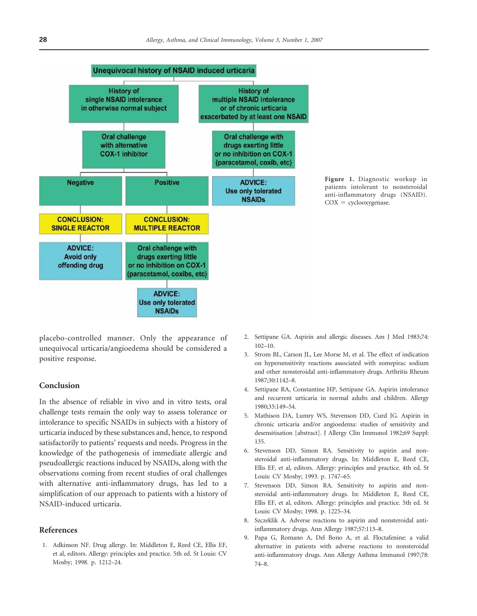

Figure 1. Diagnostic workup in patients intolerant to nonsteroidal anti-inflammatory drugs (NSAID).  $COX = cyclooxygenase.$ 

placebo-controlled manner. Only the appearance of unequivocal urticaria/angioedema should be considered a positive response.

## Conclusion

In the absence of reliable in vivo and in vitro tests, oral challenge tests remain the only way to assess tolerance or intolerance to specific NSAIDs in subjects with a history of urticaria induced by these substances and, hence, to respond satisfactorily to patients' requests and needs. Progress in the knowledge of the pathogenesis of immediate allergic and pseudoallergic reactions induced by NSAIDs, along with the observations coming from recent studies of oral challenges with alternative anti-inflammatory drugs, has led to a simplification of our approach to patients with a history of NSAID-induced urticaria.

## References

1. Adkinson NF. Drug allergy. In: Middleton E, Reed CE, Ellis EF, et al, editors. Allergy: principles and practice. 5th ed. St Louis: CV Mosby; 1998. p. 1212–24.

- 2. Settipane GA. Aspirin and allergic diseases. Am J Med 1983;74: 102–10.
- 3. Strom BL, Carson JL, Lee Morse M, et al. The effect of indication on hypersensitivity reactions associated with zomepirac sodium and other nonsteroidal anti-inflammatory drugs. Arthritis Rheum 1987;30:1142–8.
- 4. Settipane RA, Constantine HP, Settipane GA. Aspirin intolerance and recurrent urticaria in normal adults and children. Allergy 1980;35:149–54.
- 5. Mathison DA, Lumry WS, Stevenson DD, Curd JG. Aspirin in chronic urticaria and/or angioedema: studies of sensitivity and desensitisation [abstract]. J Allergy Clin Immunol 1982;69 Suppl: 135.
- 6. Stevenson DD, Simon RA. Sensitivity to aspirin and nonsteroidal anti-inflammatory drugs. In: Middleton E, Reed CE, Ellis EF, et al, editors. Allergy: principles and practice. 4th ed. St Louis: CV Mosby; 1993. p. 1747–65.
- 7. Stevenson DD, Simon RA. Sensitivity to aspirin and nonsteroidal anti-inflammatory drugs. In: Middleton E, Reed CE, Ellis EF, et al, editors. Allergy: principles and practice. 5th ed. St Louis: CV Mosby; 1998. p. 1225–34.
- 8. Szczeklik A. Adverse reactions to aspirin and nonsteroidal antiinflammatory drugs. Ann Allergy 1987;57:113–8.
- 9. Papa G, Romano A, Del Bono A, et al. Floctafenine: a valid alternative in patients with adverse reactions to nonsteroidal anti-inflammatory drugs. Ann Allergy Asthma Immunol 1997;78: 74–8.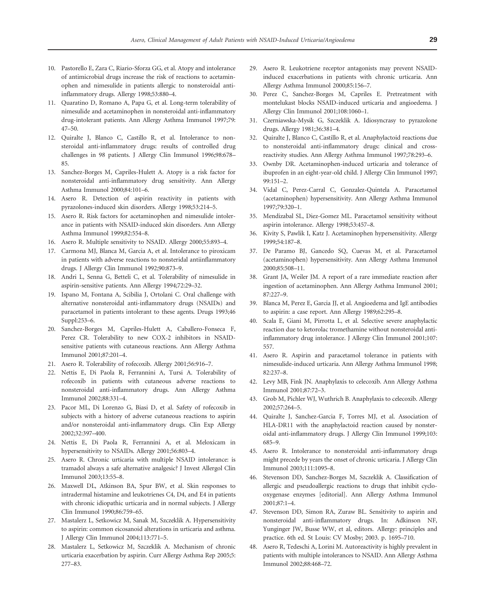- 10. Pastorello E, Zara C, Riario-Sforza GG, et al. Atopy and intolerance of antimicrobial drugs increase the risk of reactions to acetaminophen and nimesulide in patients allergic to nonsteroidal antiinflammatory drugs. Allergy 1998;53:880–4.
- 11. Quaratino D, Romano A, Papa G, et al. Long-term tolerability of nimesulide and acetaminophen in nonsteroidal anti-inflammatory drug-intolerant patients. Ann Allergy Asthma Immunol 1997;79: 47–50.
- 12. Quiralte J, Blanco C, Castillo R, et al. Intolerance to nonsteroidal anti-inflammatory drugs: results of controlled drug challenges in 98 patients. J Allergy Clin Immunol 1996;98:678– 85.
- 13. Sanchez-Borges M, Capriles-Hulett A. Atopy is a risk factor for nonsteroidal anti-inflammatory drug sensitivity. Ann Allergy Asthma Immunol 2000;84:101–6.
- 14. Asero R. Detection of aspirin reactivity in patients with pyrazolones-induced skin disorders. Allergy 1998;53:214–5.
- 15. Asero R. Risk factors for acetaminophen and nimesulide intolerance in patients with NSAID-induced skin disorders. Ann Allergy Asthma Immunol 1999;82:554–8.
- 16. Asero R. Multiple sensitivity to NSAID. Allergy 2000;55:893–4.
- 17. Carmona MJ, Blanca M, Garcia A, et al. Intolerance to piroxicam in patients with adverse reactions to nonsteridal antiinflammatory drugs. J Allergy Clin Immunol 1992;90:873–9.
- 18. Andri L, Senna G, Betteli C, et al. Tolerability of nimesulide in aspirin-sensitive patients. Ann Allergy 1994;72:29–32.
- 19. Ispano M, Fontana A, Scibilia J, Ortolani C. Oral challenge with alternative nonsteroidal anti-inflammatory drugs (NSAIDs) and paracetamol in patients intolerant to these agents. Drugs 1993;46 Suppl:253–6.
- 20. Sanchez-Borges M, Capriles-Hulett A, Caballero-Fonseca F, Perez CR. Tolerability to new COX-2 inhibitors in NSAIDsensitive patients with cutaneous reactions. Ann Allergy Asthma Immunol 2001;87:201–4.
- 21. Asero R. Tolerability of rofecoxib. Allergy 2001;56:916–7.
- 22. Nettis E, Di Paola R, Ferrannini A, Tursi A. Tolerability of rofecoxib in patients with cutaneous adverse reactions to nonsteroidal anti-inflammatory drugs. Ann Allergy Asthma Immunol 2002;88:331–4.
- 23. Pacor ML, Di Lorenzo G, Biasi D, et al. Safety of rofecoxib in subjects with a history of adverse cutaneous reactions to aspirin and/or nonsteroidal anti-inflammatory drugs. Clin Exp Allergy 2002;32:397–400.
- 24. Nettis E, Di Paola R, Ferrannini A, et al. Meloxicam in hypersensitivity to NSAIDs. Allergy 2001;56:803–4.
- 25. Asero R. Chronic urticaria with multiple NSAID intolerance: is tramadol always a safe alternative analgesic? J Invest Allergol Clin Immunol 2003;13:55–8.
- 26. Maxwell DL, Atkinson BA, Spur BW, et al. Skin responses to intradermal histamine and leukotrienes C4, D4, and E4 in patients with chronic idiopathic urticaria and in normal subjects. J Allergy Clin Immunol 1990;86:759–65.
- 27. Mastalerz L, Setkowicz M, Sanak M, Szczeklik A. Hypersensitivity to aspirin: common eicosanoid alterations in urticaria and asthma. J Allergy Clin Immunol 2004;113:771–5.
- 28. Mastalerz L, Setkowicz M, Szczeklik A. Mechanism of chronic urticaria exacerbation by aspirin. Curr Allergy Asthma Rep 2005;5: 277–83.
- 29. Asero R. Leukotriene receptor antagonists may prevent NSAIDinduced exacerbations in patients with chronic urticaria. Ann Allergy Asthma Immunol 2000;85:156–7.
- 30. Perez C, Sanchez-Borges M, Capriles E. Pretreatment with montelukast blocks NSAID-induced urticaria and angioedema. J Allergy Clin Immunol 2001;108:1060–1.
- 31. Czerniawska-Mysik G, Szczeklik A. Idiosyncrasy to pyrazolone drugs. Allergy 1981;36:381–4.
- 32. Quiralte J, Blanco C, Castillo R, et al. Anaphylactoid reactions due to nonsteroidal anti-inflammatory drugs: clinical and crossreactivity studies. Ann Allergy Asthma Immunol 1997;78:293–6.
- 33. Ownby DR. Acetaminophen-induced urticaria and tolerance of ibuprofen in an eight-year-old child. J Allergy Clin Immunol 1997; 99:151–2.
- 34. Vidal C, Perez-Carral C, Gonzalez-Quintela A. Paracetamol (acetaminophen) hypersensitivity. Ann Allergy Asthma Immunol 1997;79:320–1.
- 35. Mendizabal SL, Diez-Gomez ML. Paracetamol sensitivity without aspirin intolerance. Allergy 1998;53:457–8.
- 36. Kivity S, Pawlik I, Katz J. Acetaminophen hypersensitivity. Allergy 1999;54:187–8.
- 37. De Paramo BJ, Gancedo SQ, Cuevas M, et al. Paracetamol (acetaminophen) hypersensitivity. Ann Allergy Asthma Immunol 2000;85:508–11.
- 38. Grant JA, Weiler JM. A report of a rare immediate reaction after ingestion of acetaminophen. Ann Allergy Asthma Immunol 2001;  $87:227-9$
- 39. Blanca M, Perez E, Garcia JJ, et al. Angioedema and IgE antibodies to aspirin: a case report. Ann Allergy 1989;62:295–8.
- 40. Scala E, Giani M, Pirrotta L, et al. Selective severe anaphylactic reaction due to ketorolac tromethamine without nonsteroidal antiinflammatory drug intolerance. J Allergy Clin Immunol 2001;107: 557.
- 41. Asero R. Aspirin and paracetamol tolerance in patients with nimesulide-induced urticaria. Ann Allergy Asthma Immunol 1998; 82:237–8.
- 42. Levy MB, Fink JN. Anaphylaxis to celecoxib. Ann Allergy Asthma Immunol 2001;87:72–3.
- 43. Grob M, Pichler WJ, Wuthrich B. Anaphylaxis to celecoxib. Allergy 2002;57:264–5.
- 44. Quiralte J, Sanchez-Garcia F, Torres MJ, et al. Association of HLA-DR11 with the anaphylactoid reaction caused by nonsteroidal anti-inflammatory drugs. J Allergy Clin Immunol 1999;103: 685–9.
- 45. Asero R. Intolerance to nonsteroidal anti-inflammatory drugs might precede by years the onset of chronic urticaria. J Allergy Clin Immunol 2003;111:1095–8.
- 46. Stevenson DD, Sanchez-Borges M, Szczeklik A. Classification of allergic and pseudoallergic reactions to drugs that inhibit cyclooxygenase enzymes [editorial]. Ann Allergy Asthma Immunol 2001;87:1–4.
- 47. Stevenson DD, Simon RA, Zuraw BL. Sensitivity to aspirin and nonsteroidal anti-inflammatory drugs. In: Adkinson NF, Yunginger JW, Busse WW, et al, editors. Allergy: principles and practice. 6th ed. St Louis: CV Mosby; 2003. p. 1695–710.
- 48. Asero R, Tedeschi A, Lorini M. Autoreactivity is highly prevalent in patients with multiple intolerances to NSAID. Ann Allergy Asthma Immunol 2002;88:468–72.